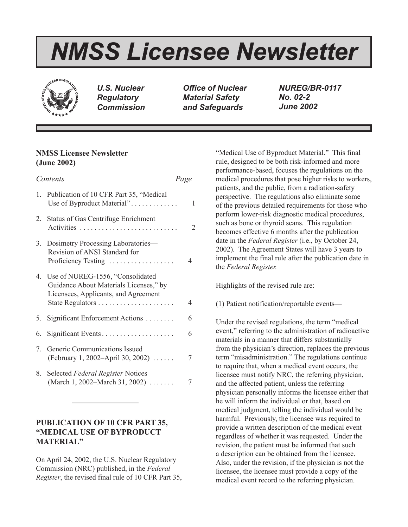# *NMSS Licensee Newsletter*



*U.S. Nuclear Regulatory Commission*

*Office of Nuclear Material Safety and Safeguards*

*NUREG/BR-0117 No. 02-2 June 2002*

# **NMSS Licensee Newsletter (June 2002)**

| Contents |                                                                                                                                           | Page |                |
|----------|-------------------------------------------------------------------------------------------------------------------------------------------|------|----------------|
|          | 1. Publication of 10 CFR Part 35, "Medical<br>Use of Byproduct Material"                                                                  |      | 1              |
|          | 2. Status of Gas Centrifuge Enrichment<br>Activities                                                                                      |      | $\overline{2}$ |
|          | 3. Dosimetry Processing Laboratories—<br>Revision of ANSI Standard for<br>Proficiency Testing                                             |      | 4              |
|          | 4. Use of NUREG-1556, "Consolidated<br>Guidance About Materials Licenses," by<br>Licensees, Applicants, and Agreement<br>State Regulators |      | 4              |
| 5.       | Significant Enforcement Actions                                                                                                           |      | 6              |
| 6.       | Significant Events                                                                                                                        |      | 6              |
| 7.       | Generic Communications Issued<br>(February 1, 2002–April 30, 2002)                                                                        |      | 7              |
| 8.       | Selected Federal Register Notices<br>(March 1, 2002–March 31, 2002)                                                                       |      | 7              |
|          |                                                                                                                                           |      |                |

# **PUBLICATION OF 10 CFR PART 35, "MEDICAL USE OF BYPRODUCT MATERIAL"**

On April 24, 2002, the U.S. Nuclear Regulatory Commission (NRC) published, in the *Federal Register*, the revised final rule of 10 CFR Part 35, "Medical Use of Byproduct Material." This final rule, designed to be both risk-informed and more performance-based, focuses the regulations on the medical procedures that pose higher risks to workers, patients, and the public, from a radiation-safety perspective. The regulations also eliminate some of the previous detailed requirements for those who perform lower-risk diagnostic medical procedures, such as bone or thyroid scans. This regulation becomes effective 6 months after the publication date in the *Federal Register* (i.e., by October 24, 2002). The Agreement States will have 3 years to implement the final rule after the publication date in the *Federal Register.*

Highlights of the revised rule are:

(1) Patient notification/reportable events—

Under the revised regulations, the term "medical event," referring to the administration of radioactive materials in a manner that differs substantially from the physician's direction, replaces the previous term "misadministration." The regulations continue to require that, when a medical event occurs, the licensee must notify NRC, the referring physician, and the affected patient, unless the referring physician personally informs the licensee either that he will inform the individual or that, based on medical judgment, telling the individual would be harmful. Previously, the licensee was required to provide a written description of the medical event regardless of whether it was requested. Under the revision, the patient must be informed that such a description can be obtained from the licensee. Also, under the revision, if the physician is not the licensee, the licensee must provide a copy of the medical event record to the referring physician.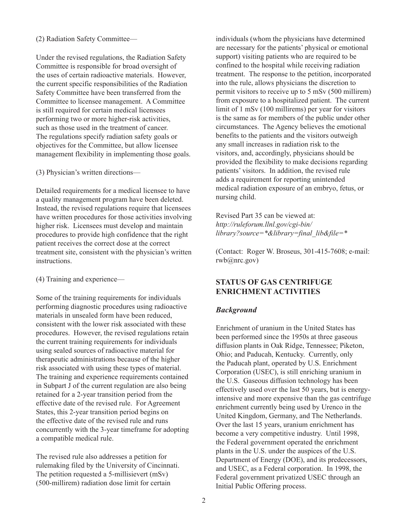#### (2) Radiation Safety Committee—

Under the revised regulations, the Radiation Safety Committee is responsible for broad oversight of the uses of certain radioactive materials. However, the current specific responsibilities of the Radiation Safety Committee have been transferred from the Committee to licensee management. A Committee is still required for certain medical licensees performing two or more higher-risk activities, such as those used in the treatment of cancer. The regulations specify radiation safety goals or objectives for the Committee, but allow licensee management flexibility in implementing those goals.

(3) Physician's written directions—

Detailed requirements for a medical licensee to have a quality management program have been deleted. Instead, the revised regulations require that licensees have written procedures for those activities involving higher risk. Licensees must develop and maintain procedures to provide high confidence that the right patient receives the correct dose at the correct treatment site, consistent with the physician's written instructions.

(4) Training and experience—

Some of the training requirements for individuals performing diagnostic procedures using radioactive materials in unsealed form have been reduced, consistent with the lower risk associated with these procedures. However, the revised regulations retain the current training requirements for individuals using sealed sources of radioactive material for therapeutic administrations because of the higher risk associated with using these types of material. The training and experience requirements contained in Subpart J of the current regulation are also being retained for a 2-year transition period from the effective date of the revised rule. For Agreement States, this 2-year transition period begins on the effective date of the revised rule and runs concurrently with the 3-year timeframe for adopting a compatible medical rule.

The revised rule also addresses a petition for rulemaking filed by the University of Cincinnati. The petition requested a 5-millisievert (mSv) (500-millirem) radiation dose limit for certain

individuals (whom the physicians have determined are necessary for the patients' physical or emotional support) visiting patients who are required to be confined to the hospital while receiving radiation treatment. The response to the petition, incorporated into the rule, allows physicians the discretion to permit visitors to receive up to 5 mSv (500 millirem) from exposure to a hospitalized patient. The current limit of 1 mSv (100 millirems) per year for visitors is the same as for members of the public under other circumstances. The Agency believes the emotional benefits to the patients and the visitors outweigh any small increases in radiation risk to the visitors, and, accordingly, physicians should be provided the flexibility to make decisions regarding patients' visitors. In addition, the revised rule adds a requirement for reporting unintended medical radiation exposure of an embryo, fetus, or nursing child.

Revised Part 35 can be viewed at: *http://ruleforum.llnl.gov/cgi-bin/ library?source=\*&library=final\_lib&file=\**

(Contact: Roger W. Broseus, 301-415-7608; e-mail: rwb@nrc.gov)

# **STATUS OF GAS CENTRIFUGE ENRICHMENT ACTIVITIES**

## *Background*

Enrichment of uranium in the United States has been performed since the 1950s at three gaseous diffusion plants in Oak Ridge, Tennessee; Piketon, Ohio; and Paducah, Kentucky. Currently, only the Paducah plant, operated by U.S. Enrichment Corporation (USEC), is still enriching uranium in the U.S. Gaseous diffusion technology has been effectively used over the last 50 years, but is energyintensive and more expensive than the gas centrifuge enrichment currently being used by Urenco in the United Kingdom, Germany, and The Netherlands. Over the last 15 years, uranium enrichment has become a very competitive industry. Until 1998, the Federal government operated the enrichment plants in the U.S. under the auspices of the U.S. Department of Energy (DOE), and its predecessors, and USEC, as a Federal corporation. In 1998, the Federal government privatized USEC through an Initial Public Offering process.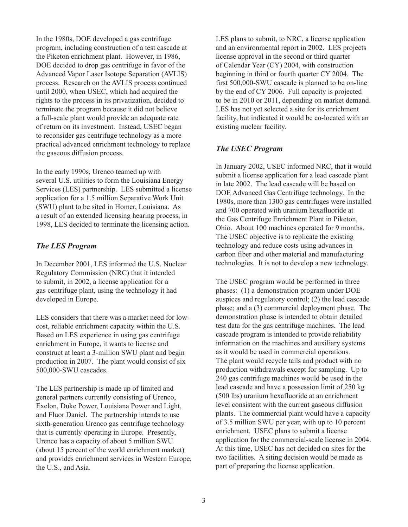In the 1980s, DOE developed a gas centrifuge program, including construction of a test cascade at the Piketon enrichment plant. However, in 1986, DOE decided to drop gas centrifuge in favor of the Advanced Vapor Laser Isotope Separation (AVLIS) process. Research on the AVLIS process continued until 2000, when USEC, which had acquired the rights to the process in its privatization, decided to terminate the program because it did not believe a full-scale plant would provide an adequate rate of return on its investment. Instead, USEC began to reconsider gas centrifuge technology as a more practical advanced enrichment technology to replace the gaseous diffusion process.

In the early 1990s, Urenco teamed up with several U.S. utilities to form the Louisiana Energy Services (LES) partnership. LES submitted a license application for a 1.5 million Separative Work Unit (SWU) plant to be sited in Homer, Louisiana. As a result of an extended licensing hearing process, in 1998, LES decided to terminate the licensing action.

#### *The LES Program*

In December 2001, LES informed the U.S. Nuclear Regulatory Commission (NRC) that it intended to submit, in 2002, a license application for a gas centrifuge plant, using the technology it had developed in Europe.

LES considers that there was a market need for lowcost, reliable enrichment capacity within the U.S. Based on LES experience in using gas centrifuge enrichment in Europe, it wants to license and construct at least a 3-million SWU plant and begin production in 2007. The plant would consist of six 500,000-SWU cascades.

The LES partnership is made up of limited and general partners currently consisting of Urenco, Exelon, Duke Power, Louisiana Power and Light, and Fluor Daniel. The partnership intends to use sixth-generation Urenco gas centrifuge technology that is currently operating in Europe. Presently, Urenco has a capacity of about 5 million SWU (about 15 percent of the world enrichment market) and provides enrichment services in Western Europe, the U.S., and Asia.

LES plans to submit, to NRC, a license application and an environmental report in 2002. LES projects license approval in the second or third quarter of Calendar Year (CY) 2004, with construction beginning in third or fourth quarter CY 2004. The first 500,000-SWU cascade is planned to be on-line by the end of CY 2006. Full capacity is projected to be in 2010 or 2011, depending on market demand. LES has not yet selected a site for its enrichment facility, but indicated it would be co-located with an existing nuclear facility.

## *The USEC Program*

In January 2002, USEC informed NRC, that it would submit a license application for a lead cascade plant in late 2002. The lead cascade will be based on DOE Advanced Gas Centrifuge technology. In the 1980s, more than 1300 gas centrifuges were installed and 700 operated with uranium hexafluoride at the Gas Centrifuge Enrichment Plant in Piketon, Ohio. About 100 machines operated for 9 months. The USEC objective is to replicate the existing technology and reduce costs using advances in carbon fiber and other material and manufacturing technologies. It is not to develop a new technology.

The USEC program would be performed in three phases: (1) a demonstration program under DOE auspices and regulatory control; (2) the lead cascade phase; and a (3) commercial deployment phase. The demonstration phase is intended to obtain detailed test data for the gas centrifuge machines. The lead cascade program is intended to provide reliability information on the machines and auxiliary systems as it would be used in commercial operations. The plant would recycle tails and product with no production withdrawals except for sampling. Up to 240 gas centrifuge machines would be used in the lead cascade and have a possession limit of 250 kg (500 lbs) uranium hexafluoride at an enrichment level consistent with the current gaseous diffusion plants. The commercial plant would have a capacity of 3.5 million SWU per year, with up to 10 percent enrichment. USEC plans to submit a license application for the commercial-scale license in 2004. At this time, USEC has not decided on sites for the two facilities. A siting decision would be made as part of preparing the license application.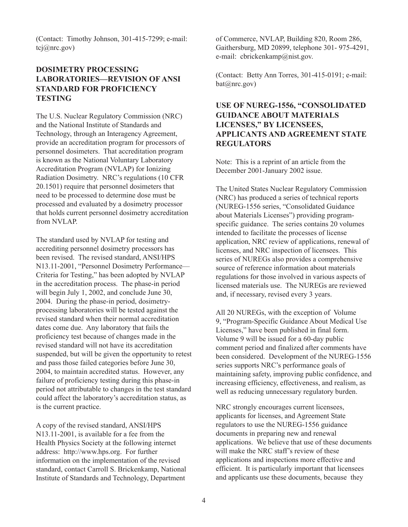(Contact: Timothy Johnson, 301-415-7299; e-mail: tcj@nrc.gov)

# **DOSIMETRY PROCESSING LABORATORIES—REVISION OF ANSI STANDARD FOR PROFICIENCY TESTING**

The U.S. Nuclear Regulatory Commission (NRC) and the National Institute of Standards and Technology, through an Interagency Agreement, provide an accreditation program for processors of personnel dosimeters. That accreditation program is known as the National Voluntary Laboratory Accreditation Program (NVLAP) for Ionizing Radiation Dosimetry. NRC's regulations (10 CFR 20.1501) require that personnel dosimeters that need to be processed to determine dose must be processed and evaluated by a dosimetry processor that holds current personnel dosimetry accreditation from NVLAP.

The standard used by NVLAP for testing and accrediting personnel dosimetry processors has been revised. The revised standard, ANSI/HPS N13.11-2001, "Personnel Dosimetry Performance— Criteria for Testing," has been adopted by NVLAP in the accreditation process. The phase-in period will begin July 1, 2002, and conclude June 30, 2004. During the phase-in period, dosimetryprocessing laboratories will be tested against the revised standard when their normal accreditation dates come due. Any laboratory that fails the proficiency test because of changes made in the revised standard will not have its accreditation suspended, but will be given the opportunity to retest and pass those failed categories before June 30, 2004, to maintain accredited status. However, any failure of proficiency testing during this phase-in period not attributable to changes in the test standard could affect the laboratory's accreditation status, as is the current practice.

A copy of the revised standard, ANSI/HPS N13.11-2001, is available for a fee from the Health Physics Society at the following internet address: http://www.hps.org. For further information on the implementation of the revised standard, contact Carroll S. Brickenkamp, National Institute of Standards and Technology, Department

of Commerce, NVLAP, Building 820, Room 286, Gaithersburg, MD 20899, telephone 301- 975-4291, e-mail: cbrickenkamp@nist.gov.

(Contact: Betty Ann Torres, 301-415-0191; e-mail: bat@nrc.gov)

# **USE OF NUREG-1556, "CONSOLIDATED GUIDANCE ABOUT MATERIALS LICENSES," BY LICENSEES, APPLICANTS AND AGREEMENT STATE REGULATORS**

Note: This is a reprint of an article from the December 2001-January 2002 issue.

The United States Nuclear Regulatory Commission (NRC) has produced a series of technical reports (NUREG-1556 series, "Consolidated Guidance about Materials Licenses") providing programspecific guidance. The series contains 20 volumes intended to facilitate the processes of license application, NRC review of applications, renewal of licenses, and NRC inspection of licensees. This series of NUREGs also provides a comprehensive source of reference information about materials regulations for those involved in various aspects of licensed materials use. The NUREGs are reviewed and, if necessary, revised every 3 years.

All 20 NUREGs, with the exception of Volume 9, "Program-Specific Guidance About Medical Use Licenses," have been published in final form. Volume 9 will be issued for a 60-day public comment period and finalized after comments have been considered. Development of the NUREG-1556 series supports NRC's performance goals of maintaining safety, improving public confidence, and increasing efficiency, effectiveness, and realism, as well as reducing unnecessary regulatory burden.

NRC strongly encourages current licensees, applicants for licenses, and Agreement State regulators to use the NUREG-1556 guidance documents in preparing new and renewal applications. We believe that use of these documents will make the NRC staff's review of these applications and inspections more effective and efficient. It is particularly important that licensees and applicants use these documents, because they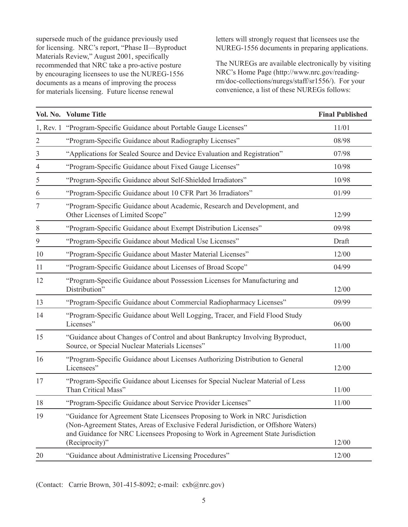supersede much of the guidance previously used for licensing. NRC's report, "Phase II—Byproduct Materials Review," August 2001, specifically recommended that NRC take a pro-active posture by encouraging licensees to use the NUREG-1556 documents as a means of improving the process for materials licensing. Future license renewal

letters will strongly request that licensees use the NUREG-1556 documents in preparing applications.

The NUREGs are available electronically by visiting NRC's Home Page (http://www.nrc.gov/readingrm/doc-collections/nuregs/staff/sr1556/). For your convenience, a list of these NUREGs follows:

|                | Vol. No. Volume Title                                                                                                                                                                                                                                                      | <b>Final Published</b> |
|----------------|----------------------------------------------------------------------------------------------------------------------------------------------------------------------------------------------------------------------------------------------------------------------------|------------------------|
|                | 1, Rev. 1 "Program-Specific Guidance about Portable Gauge Licenses"                                                                                                                                                                                                        | 11/01                  |
| $\overline{2}$ | "Program-Specific Guidance about Radiography Licenses"                                                                                                                                                                                                                     | 08/98                  |
| 3              | "Applications for Sealed Source and Device Evaluation and Registration"                                                                                                                                                                                                    | 07/98                  |
| 4              | "Program-Specific Guidance about Fixed Gauge Licenses"                                                                                                                                                                                                                     | 10/98                  |
| 5              | "Program-Specific Guidance about Self-Shielded Irradiators"                                                                                                                                                                                                                | 10/98                  |
| 6              | "Program-Specific Guidance about 10 CFR Part 36 Irradiators"                                                                                                                                                                                                               | 01/99                  |
| 7              | "Program-Specific Guidance about Academic, Research and Development, and<br>Other Licenses of Limited Scope"                                                                                                                                                               | 12/99                  |
| 8              | "Program-Specific Guidance about Exempt Distribution Licenses"                                                                                                                                                                                                             | 09/98                  |
| 9              | "Program-Specific Guidance about Medical Use Licenses"                                                                                                                                                                                                                     | Draft                  |
| 10             | "Program-Specific Guidance about Master Material Licenses"                                                                                                                                                                                                                 | 12/00                  |
| 11             | "Program-Specific Guidance about Licenses of Broad Scope"                                                                                                                                                                                                                  | 04/99                  |
| 12             | "Program-Specific Guidance about Possession Licenses for Manufacturing and<br>Distribution"                                                                                                                                                                                | 12/00                  |
| 13             | "Program-Specific Guidance about Commercial Radiopharmacy Licenses"                                                                                                                                                                                                        | 09/99                  |
| 14             | "Program-Specific Guidance about Well Logging, Tracer, and Field Flood Study<br>Licenses"                                                                                                                                                                                  | 06/00                  |
| 15             | "Guidance about Changes of Control and about Bankruptcy Involving Byproduct,<br>Source, or Special Nuclear Materials Licenses"                                                                                                                                             | 11/00                  |
| 16             | "Program-Specific Guidance about Licenses Authorizing Distribution to General<br>Licensees"                                                                                                                                                                                | 12/00                  |
| 17             | "Program-Specific Guidance about Licenses for Special Nuclear Material of Less<br>Than Critical Mass"                                                                                                                                                                      | 11/00                  |
| 18             | "Program-Specific Guidance about Service Provider Licenses"                                                                                                                                                                                                                | 11/00                  |
| 19             | "Guidance for Agreement State Licensees Proposing to Work in NRC Jurisdiction<br>(Non-Agreement States, Areas of Exclusive Federal Jurisdiction, or Offshore Waters)<br>and Guidance for NRC Licensees Proposing to Work in Agreement State Jurisdiction<br>(Reciprocity)" | 12/00                  |
| 20             | "Guidance about Administrative Licensing Procedures"                                                                                                                                                                                                                       | 12/00                  |

(Contact: Carrie Brown, 301-415-8092; e-mail: cxb@nrc.gov)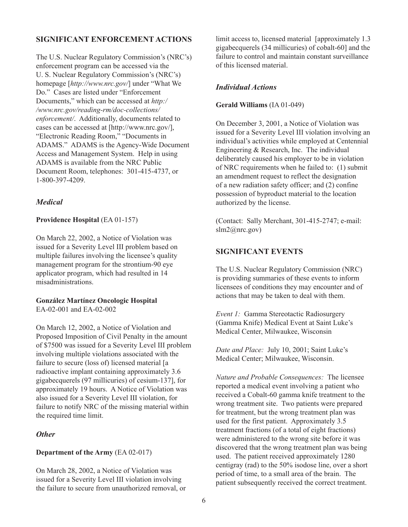## **SIGNIFICANT ENFORCEMENT ACTIONS**

The U.S. Nuclear Regulatory Commission's (NRC's) enforcement program can be accessed via the U. S. Nuclear Regulatory Commission's (NRC's) homepage [*http://www.nrc.gov/*] under "What We Do." Cases are listed under "Enforcement Documents," which can be accessed at *http:/ /www.nrc.gov/reading-rm/doc-collections/ enforcement/*. Additionally, documents related to cases can be accessed at [http://www.nrc.gov/], "Electronic Reading Room," "Documents in ADAMS." ADAMS is the Agency-Wide Document Access and Management System. Help in using ADAMS is available from the NRC Public Document Room, telephones: 301-415-4737, or 1-800-397-4209.

# *Medical*

## **Providence Hospital** (EA 01-157)

On March 22, 2002, a Notice of Violation was issued for a Severity Level III problem based on multiple failures involving the licensee's quality management program for the strontium-90 eye applicator program, which had resulted in 14 misadministrations.

#### **González Martínez Oncologic Hospital** EA-02-001 and EA-02-002

On March 12, 2002, a Notice of Violation and Proposed Imposition of Civil Penalty in the amount of \$7500 was issued for a Severity Level III problem involving multiple violations associated with the failure to secure (loss of) licensed material [a radioactive implant containing approximately 3.6 gigabecquerels (97 millicuries) of cesium-137], for approximately 19 hours. A Notice of Violation was also issued for a Severity Level III violation, for failure to notify NRC of the missing material within the required time limit.

## *Other*

## **Department of the Army** (EA 02-017)

On March 28, 2002, a Notice of Violation was issued for a Severity Level III violation involving the failure to secure from unauthorized removal, or limit access to, licensed material [approximately 1.3 gigabecquerels (34 millicuries) of cobalt-60] and the failure to control and maintain constant surveillance of this licensed material.

# *Individual Actions*

#### **Gerald Williams** (IA 01-049)

On December 3, 2001, a Notice of Violation was issued for a Severity Level III violation involving an individual's activities while employed at Centennial Engineering & Research, Inc. The individual deliberately caused his employer to be in violation of NRC requirements when he failed to: (1) submit an amendment request to reflect the designation of a new radiation safety officer; and (2) confine possession of byproduct material to the location authorized by the license.

(Contact: Sally Merchant, 301-415-2747; e-mail: slm2@nrc.gov)

# **SIGNIFICANT EVENTS**

The U.S. Nuclear Regulatory Commission (NRC) is providing summaries of these events to inform licensees of conditions they may encounter and of actions that may be taken to deal with them.

*Event 1:* Gamma Stereotactic Radiosurgery (Gamma Knife) Medical Event at Saint Luke's Medical Center, Milwaukee, Wisconsin

*Date and Place:* July 10, 2001; Saint Luke's Medical Center; Milwaukee, Wisconsin.

*Nature and Probable Consequences:* The licensee reported a medical event involving a patient who received a Cobalt-60 gamma knife treatment to the wrong treatment site. Two patients were prepared for treatment, but the wrong treatment plan was used for the first patient. Approximately 3.5 treatment fractions (of a total of eight fractions) were administered to the wrong site before it was discovered that the wrong treatment plan was being used. The patient received approximately 1280 centigray (rad) to the 50% isodose line, over a short period of time, to a small area of the brain. The patient subsequently received the correct treatment.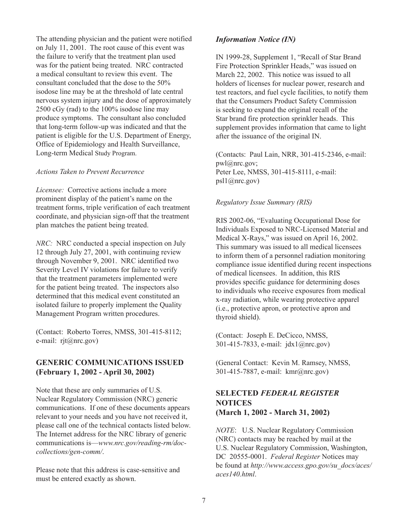The attending physician and the patient were notified on July 11, 2001. The root cause of this event was the failure to verify that the treatment plan used was for the patient being treated. NRC contracted a medical consultant to review this event. The consultant concluded that the dose to the 50% isodose line may be at the threshold of late central nervous system injury and the dose of approximately 2500 cGy (rad) to the 100% isodose line may produce symptoms. The consultant also concluded that long-term follow-up was indicated and that the patient is eligible for the U.S. Department of Energy, Office of Epidemiology and Health Surveillance, Long-term Medical Study Program.

#### *Actions Taken to Prevent Recurrence*

*Licensee:* Corrective actions include a more prominent display of the patient's name on the treatment forms, triple verification of each treatment coordinate, and physician sign-off that the treatment plan matches the patient being treated.

*NRC*: NRC conducted a special inspection on July 12 through July 27, 2001, with continuing review through November 9, 2001. NRC identified two Severity Level IV violations for failure to verify that the treatment parameters implemented were for the patient being treated. The inspectors also determined that this medical event constituted an isolated failure to properly implement the Quality Management Program written procedures.

(Contact: Roberto Torres, NMSS, 301-415-8112; e-mail: rjt@nrc.gov)

# **GENERIC COMMUNICATIONS ISSUED (February 1, 2002 - April 30, 2002)**

Note that these are only summaries of U.S. Nuclear Regulatory Commission (NRC) generic communications. If one of these documents appears relevant to your needs and you have not received it, please call one of the technical contacts listed below. The Internet address for the NRC library of generic communications is—*www.nrc.gov/reading-rm/doccollections/gen-comm/*.

Please note that this address is case-sensitive and must be entered exactly as shown.

#### *Information Notice (IN)*

IN 1999-28, Supplement 1, "Recall of Star Brand Fire Protection Sprinkler Heads," was issued on March 22, 2002. This notice was issued to all holders of licenses for nuclear power, research and test reactors, and fuel cycle facilities, to notify them that the Consumers Product Safety Commission is seeking to expand the original recall of the Star brand fire protection sprinkler heads. This supplement provides information that came to light after the issuance of the original IN.

(Contacts: Paul Lain, NRR, 301-415-2346, e-mail: pwl@nrc.gov; Peter Lee, NMSS, 301-415-8111, e-mail: psl1@nrc.gov)

#### *Regulatory Issue Summary (RIS)*

RIS 2002-06, "Evaluating Occupational Dose for Individuals Exposed to NRC-Licensed Material and Medical X-Rays," was issued on April 16, 2002. This summary was issued to all medical licensees to inform them of a personnel radiation monitoring compliance issue identified during recent inspections of medical licensees. In addition, this RIS provides specific guidance for determining doses to individuals who receive exposures from medical x-ray radiation, while wearing protective apparel (i.e., protective apron, or protective apron and thyroid shield).

(Contact: Joseph E. DeCicco, NMSS, 301-415-7833, e-mail: jdx1@nrc.gov)

(General Contact: Kevin M. Ramsey, NMSS, 301-415-7887, e-mail: kmr@nrc.gov)

# **SELECTED** *FEDERAL REGISTER* **NOTICES (March 1, 2002 - March 31, 2002)**

*NOTE*: U.S. Nuclear Regulatory Commission (NRC) contacts may be reached by mail at the U.S. Nuclear Regulatory Commission, Washington, DC 20555-0001. *Federal Register* Notices may be found at *http://www.access.gpo.gov/su\_docs/aces/ aces140.html*.